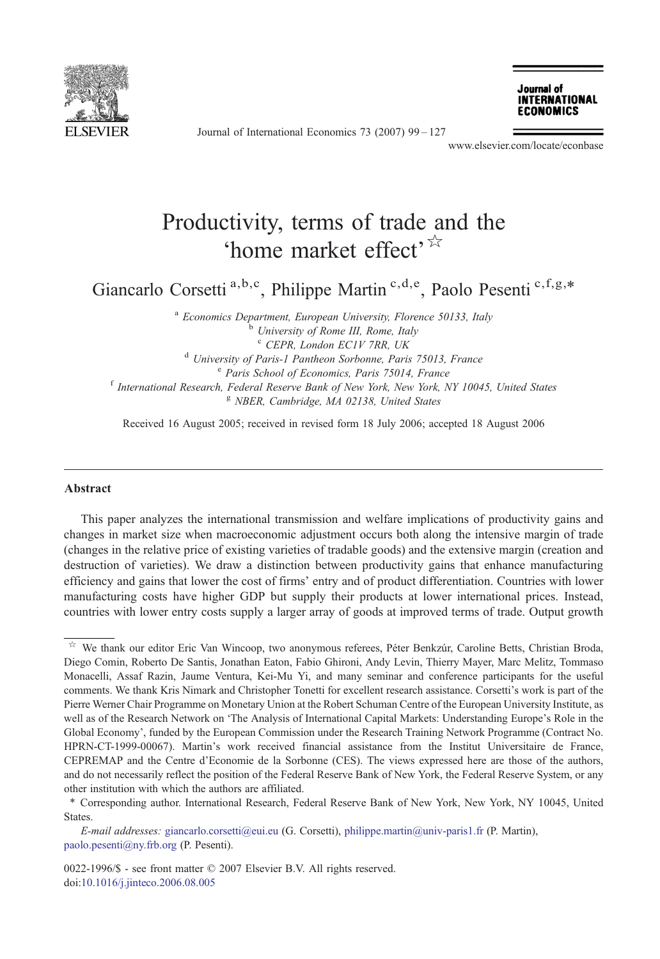

Journal of International Economics 73 (2007) 99–127

Journal of **INTERNATIONAL ECONOMICS** 

www.elsevier.com/locate/econbase

## Productivity, terms of trade and the 'home market effect' ☆

Giancarlo Corsetti<sup>a,b,c</sup>, Philippe Martin<sup>c,d,e</sup>, Paolo Pesenti<sup>c,f,g,\*</sup>

<sup>a</sup> Economics Department, European University, Florence 50133, Italy<br><sup>b</sup> University of Rome III, Rome, Italy<br><sup>c</sup> CEPR, London EC1V 7RR, UK <sup>d</sup> University of Paris-1 Pantheon Sorbonne, Paris 75013, France<br><sup>e</sup> Paris School of Economics, Paris 75014, France<br><sup>f</sup> International Research, Federal Reserve Bank of New York, New York, NY 10045, United States <sup>g</sup> NBER, Cambridge, MA 02138, United States

Received 16 August 2005; received in revised form 18 July 2006; accepted 18 August 2006

## Abstract

This paper analyzes the international transmission and welfare implications of productivity gains and changes in market size when macroeconomic adjustment occurs both along the intensive margin of trade (changes in the relative price of existing varieties of tradable goods) and the extensive margin (creation and destruction of varieties). We draw a distinction between productivity gains that enhance manufacturing efficiency and gains that lower the cost of firms' entry and of product differentiation. Countries with lower manufacturing costs have higher GDP but supply their products at lower international prices. Instead, countries with lower entry costs supply a larger array of goods at improved terms of trade. Output growth

<sup>☆</sup> We thank our editor Eric Van Wincoop, two anonymous referees, Péter Benkzúr, Caroline Betts, Christian Broda, Diego Comin, Roberto De Santis, Jonathan Eaton, Fabio Ghironi, Andy Levin, Thierry Mayer, Marc Melitz, Tommaso Monacelli, Assaf Razin, Jaume Ventura, Kei-Mu Yi, and many seminar and conference participants for the useful comments. We thank Kris Nimark and Christopher Tonetti for excellent research assistance. Corsetti's work is part of the Pierre Werner Chair Programme on Monetary Union at the Robert Schuman Centre of the European University Institute, as well as of the Research Network on 'The Analysis of International Capital Markets: Understanding Europe's Role in the Global Economy', funded by the European Commission under the Research Training Network Programme (Contract No. HPRN-CT-1999-00067). Martin's work received financial assistance from the Institut Universitaire de France, CEPREMAP and the Centre d'Economie de la Sorbonne (CES). The views expressed here are those of the authors, and do not necessarily reflect the position of the Federal Reserve Bank of New York, the Federal Reserve System, or any other institution with which the authors are affiliated.

<sup>⁎</sup> Corresponding author. International Research, Federal Reserve Bank of New York, New York, NY 10045, United States.

E-mail addresses: [giancarlo.corsetti@eui.eu](mailto:giancarlo.corsetti@eui.�eu) (G. Corsetti), [philippe.martin@univ-paris1.fr](mailto:philippe.martin@univ-paris1.fr) (P. Martin), [paolo.pesenti@ny.frb.org](mailto:paolo.pesenti@ny.frb.org) (P. Pesenti).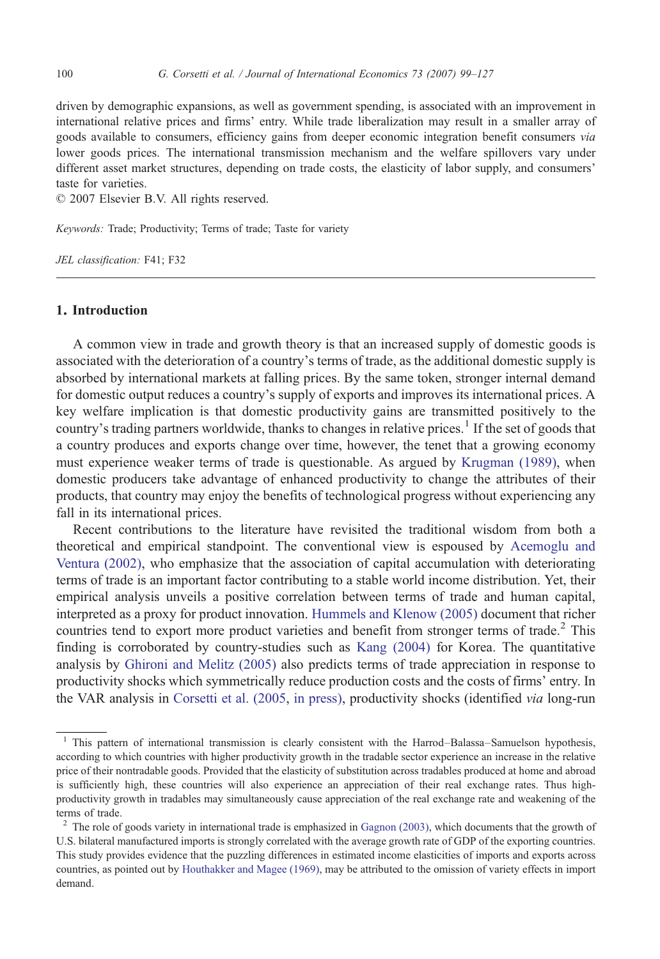driven by demographic expansions, as well as government spending, is associated with an improvement in international relative prices and firms' entry. While trade liberalization may result in a smaller array of goods available to consumers, efficiency gains from deeper economic integration benefit consumers via lower goods prices. The international transmission mechanism and the welfare spillovers vary under different asset market structures, depending on trade costs, the elasticity of labor supply, and consumers' taste for varieties.

© 2007 Elsevier B.V. All rights reserved.

Keywords: Trade; Productivity; Terms of trade; Taste for variety

JEL classification: F41; F32

## 1. Introduction

A common view in trade and growth theory is that an increased supply of domestic goods is associated with the deterioration of a country's terms of trade, as the additional domestic supply is absorbed by international markets at falling prices. By the same token, stronger internal demand for domestic output reduces a country's supply of exports and improves its international prices. A key welfare implication is that domestic productivity gains are transmitted positively to the country's trading partners worldwide, thanks to changes in relative prices.<sup>1</sup> If the set of goods that a country produces and exports change over time, however, the tenet that a growing economy must experience weaker terms of trade is questionable. As argued by [Krugman \(1989\),](#page--1-0) when domestic producers take advantage of enhanced productivity to change the attributes of their products, that country may enjoy the benefits of technological progress without experiencing any fall in its international prices.

Recent contributions to the literature have revisited the traditional wisdom from both a theoretical and empirical standpoint. The conventional view is espoused by [Acemoglu and](#page--1-0) [Ventura \(2002\)](#page--1-0), who emphasize that the association of capital accumulation with deteriorating terms of trade is an important factor contributing to a stable world income distribution. Yet, their empirical analysis unveils a positive correlation between terms of trade and human capital, interpreted as a proxy for product innovation. [Hummels and Klenow \(2005\)](#page--1-0) document that richer countries tend to export more product varieties and benefit from stronger terms of trade.<sup>2</sup> This finding is corroborated by country-studies such as [Kang \(2004\)](#page--1-0) for Korea. The quantitative analysis by [Ghironi and Melitz \(2005\)](#page--1-0) also predicts terms of trade appreciation in response to productivity shocks which symmetrically reduce production costs and the costs of firms' entry. In the VAR analysis in [Corsetti et al. \(2005,](#page--1-0) [in press\),](#page--1-0) productivity shocks (identified via long-run

<sup>1</sup> This pattern of international transmission is clearly consistent with the Harrod–Balassa–Samuelson hypothesis, according to which countries with higher productivity growth in the tradable sector experience an increase in the relative price of their nontradable goods. Provided that the elasticity of substitution across tradables produced at home and abroad is sufficiently high, these countries will also experience an appreciation of their real exchange rates. Thus highproductivity growth in tradables may simultaneously cause appreciation of the real exchange rate and weakening of the terms of trade.

<sup>&</sup>lt;sup>2</sup> The role of goods variety in international trade is emphasized in [Gagnon \(2003\)](#page--1-0), which documents that the growth of U.S. bilateral manufactured imports is strongly correlated with the average growth rate of GDP of the exporting countries. This study provides evidence that the puzzling differences in estimated income elasticities of imports and exports across countries, as pointed out by [Houthakker and Magee \(1969\)](#page--1-0), may be attributed to the omission of variety effects in import demand.